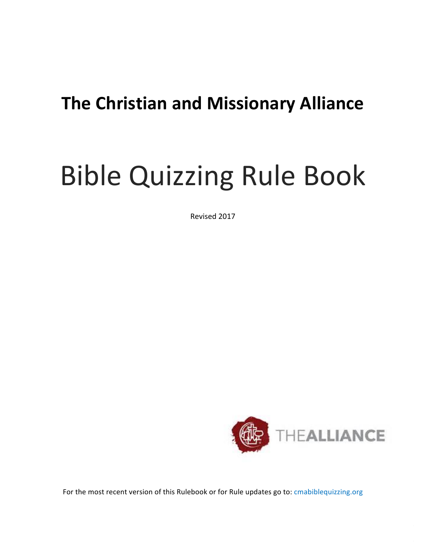# **The Christian and Missionary Alliance**

# **Bible Quizzing Rule Book**

Revised 2017



For the most recent version of this Rulebook or for Rule updates go to: cmabiblequizzing.org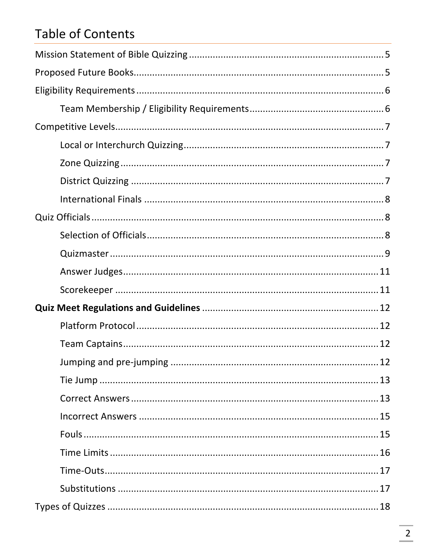# Table of Contents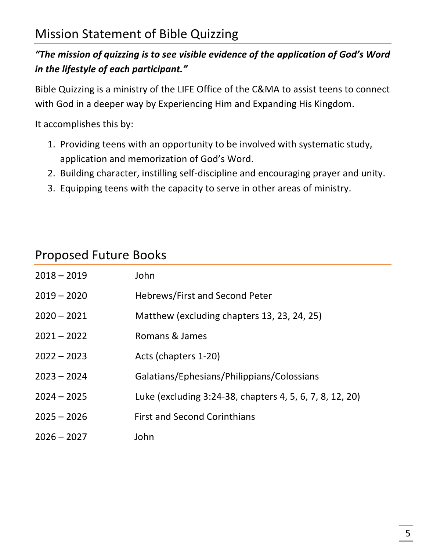#### "The mission of quizzing is to see visible evidence of the application of God's Word *in the lifestyle of each participant."*

Bible Quizzing is a ministry of the LIFE Office of the C&MA to assist teens to connect with God in a deeper way by Experiencing Him and Expanding His Kingdom.

It accomplishes this by:

- 1. Providing teens with an opportunity to be involved with systematic study, application and memorization of God's Word.
- 2. Building character, instilling self-discipline and encouraging prayer and unity.
- 3. Equipping teens with the capacity to serve in other areas of ministry.

| <b>Proposed Future Books</b> |  |  |
|------------------------------|--|--|
|------------------------------|--|--|

| $2018 - 2019$ | John                                                     |
|---------------|----------------------------------------------------------|
| $2019 - 2020$ | <b>Hebrews/First and Second Peter</b>                    |
| $2020 - 2021$ | Matthew (excluding chapters 13, 23, 24, 25)              |
| $2021 - 2022$ | Romans & James                                           |
| $2022 - 2023$ | Acts (chapters 1-20)                                     |
| $2023 - 2024$ | Galatians/Ephesians/Philippians/Colossians               |
| $2024 - 2025$ | Luke (excluding 3:24-38, chapters 4, 5, 6, 7, 8, 12, 20) |
| $2025 - 2026$ | <b>First and Second Corinthians</b>                      |
| $2026 - 2027$ | John                                                     |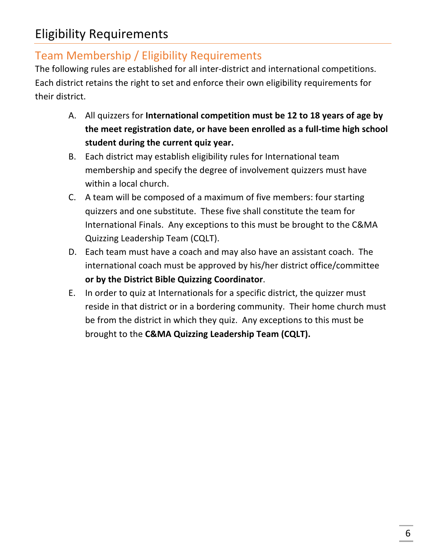# Team Membership / Eligibility Requirements

The following rules are established for all inter-district and international competitions. Each district retains the right to set and enforce their own eligibility requirements for their district.

- A. All quizzers for **International competition must be 12 to 18 years of age by** the meet registration date, or have been enrolled as a full-time high school student during the current quiz year.
- B. Each district may establish eligibility rules for International team membership and specify the degree of involvement quizzers must have within a local church.
- C. A team will be composed of a maximum of five members: four starting quizzers and one substitute. These five shall constitute the team for International Finals. Any exceptions to this must be brought to the C&MA Quizzing Leadership Team (CQLT).
- D. Each team must have a coach and may also have an assistant coach. The international coach must be approved by his/her district office/committee **or by the District Bible Quizzing Coordinator**.
- E. In order to quiz at Internationals for a specific district, the quizzer must reside in that district or in a bordering community. Their home church must be from the district in which they quiz. Any exceptions to this must be brought to the C&MA Quizzing Leadership Team (CQLT).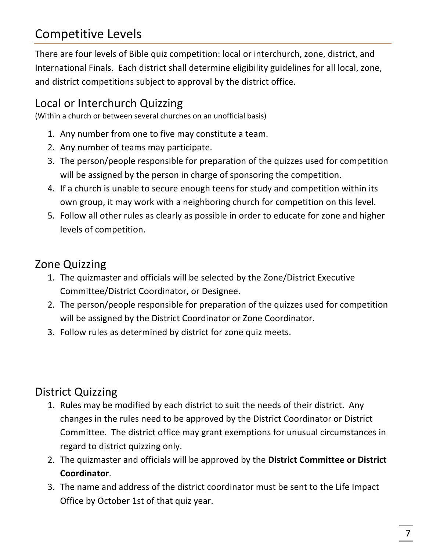# Competitive Levels

There are four levels of Bible quiz competition: local or interchurch, zone, district, and International Finals. Each district shall determine eligibility guidelines for all local, zone, and district competitions subject to approval by the district office.

# Local or Interchurch Quizzing

(Within a church or between several churches on an unofficial basis)

- 1. Any number from one to five may constitute a team.
- 2. Any number of teams may participate.
- 3. The person/people responsible for preparation of the quizzes used for competition will be assigned by the person in charge of sponsoring the competition.
- 4. If a church is unable to secure enough teens for study and competition within its own group, it may work with a neighboring church for competition on this level.
- 5. Follow all other rules as clearly as possible in order to educate for zone and higher levels of competition.

# Zone Quizzing

- 1. The quizmaster and officials will be selected by the Zone/District Executive Committee/District Coordinator, or Designee.
- 2. The person/people responsible for preparation of the quizzes used for competition will be assigned by the District Coordinator or Zone Coordinator.
- 3. Follow rules as determined by district for zone quiz meets.

# District Quizzing

- 1. Rules may be modified by each district to suit the needs of their district. Any changes in the rules need to be approved by the District Coordinator or District Committee. The district office may grant exemptions for unusual circumstances in regard to district quizzing only.
- 2. The quizmaster and officials will be approved by the District Committee or District **Coordinator**.
- 3. The name and address of the district coordinator must be sent to the Life Impact Office by October 1st of that quiz year.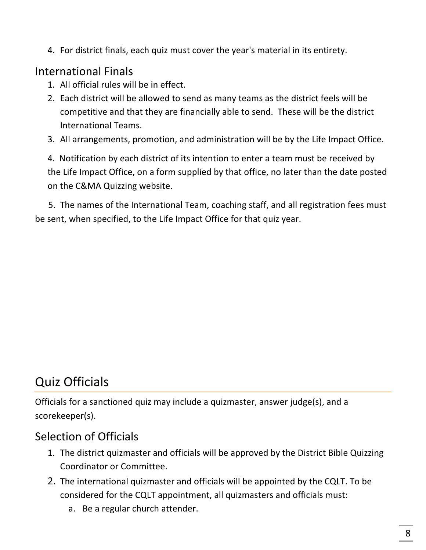4. For district finals, each quiz must cover the year's material in its entirety.

## International Finals

- 1. All official rules will be in effect.
- 2. Each district will be allowed to send as many teams as the district feels will be competitive and that they are financially able to send. These will be the district International Teams.
- 3. All arrangements, promotion, and administration will be by the Life Impact Office.

4. Notification by each district of its intention to enter a team must be received by the Life Impact Office, on a form supplied by that office, no later than the date posted on the C&MA Quizzing website.

5. The names of the International Team, coaching staff, and all registration fees must be sent, when specified, to the Life Impact Office for that quiz year.

# Quiz Officials

Officials for a sanctioned quiz may include a quizmaster, answer judge(s), and a scorekeeper(s).

## Selection of Officials

- 1. The district quizmaster and officials will be approved by the District Bible Quizzing Coordinator or Committee.
- 2. The international quizmaster and officials will be appointed by the CQLT. To be considered for the CQLT appointment, all quizmasters and officials must:
	- a. Be a regular church attender.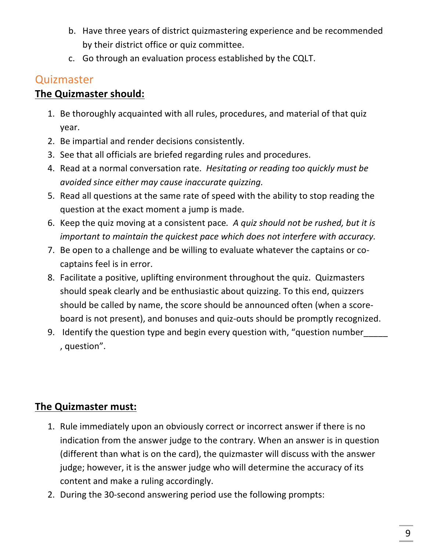- b. Have three years of district quizmastering experience and be recommended by their district office or quiz committee.
- c. Go through an evaluation process established by the CQLT.

# **Quizmaster**

#### **The Quizmaster should:**

- 1. Be thoroughly acquainted with all rules, procedures, and material of that quiz year.
- 2. Be impartial and render decisions consistently.
- 3. See that all officials are briefed regarding rules and procedures.
- 4. Read at a normal conversation rate. Hesitating or reading too quickly must be *avoided since either may cause inaccurate quizzing.*
- 5. Read all questions at the same rate of speed with the ability to stop reading the question at the exact moment a jump is made.
- 6. Keep the quiz moving at a consistent pace. A quiz should not be rushed, but it is *important to maintain the quickest pace which does not interfere with accuracy.*
- 7. Be open to a challenge and be willing to evaluate whatever the captains or cocaptains feel is in error.
- 8. Facilitate a positive, uplifting environment throughout the quiz. Quizmasters should speak clearly and be enthusiastic about quizzing. To this end, quizzers should be called by name, the score should be announced often (when a scoreboard is not present), and bonuses and quiz-outs should be promptly recognized.
- 9. Identify the question type and begin every question with, "question number , question".

## **The Quizmaster must:**

- 1. Rule immediately upon an obviously correct or incorrect answer if there is no indication from the answer judge to the contrary. When an answer is in question (different than what is on the card), the quizmaster will discuss with the answer judge; however, it is the answer judge who will determine the accuracy of its content and make a ruling accordingly.
- 2. During the 30-second answering period use the following prompts: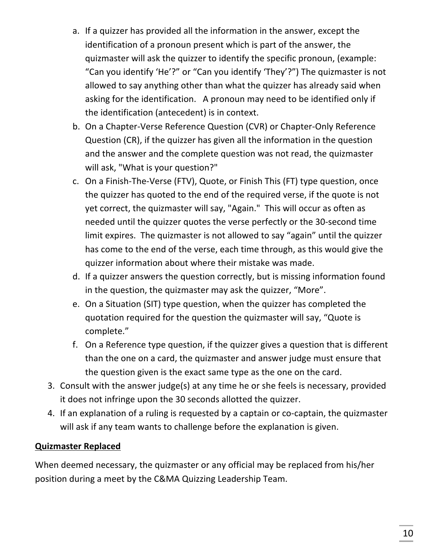- a. If a quizzer has provided all the information in the answer, except the identification of a pronoun present which is part of the answer, the quizmaster will ask the quizzer to identify the specific pronoun, (example: "Can you identify 'He'?" or "Can you identify 'They'?") The quizmaster is not allowed to say anything other than what the quizzer has already said when asking for the identification. A pronoun may need to be identified only if the identification (antecedent) is in context.
- b. On a Chapter-Verse Reference Question (CVR) or Chapter-Only Reference Question (CR), if the quizzer has given all the information in the question and the answer and the complete question was not read, the quizmaster will ask, "What is your question?"
- c. On a Finish-The-Verse (FTV), Quote, or Finish This (FT) type question, once the quizzer has quoted to the end of the required verse, if the quote is not yet correct, the quizmaster will say, "Again." This will occur as often as needed until the quizzer quotes the verse perfectly or the 30-second time limit expires. The quizmaster is not allowed to say "again" until the quizzer has come to the end of the verse, each time through, as this would give the quizzer information about where their mistake was made.
- d. If a quizzer answers the question correctly, but is missing information found in the question, the quizmaster may ask the quizzer, "More".
- e. On a Situation (SIT) type question, when the quizzer has completed the quotation required for the question the quizmaster will say, "Quote is complete."
- f. On a Reference type question, if the quizzer gives a question that is different than the one on a card, the quizmaster and answer judge must ensure that the question given is the exact same type as the one on the card.
- 3. Consult with the answer judge(s) at any time he or she feels is necessary, provided it does not infringe upon the 30 seconds allotted the quizzer.
- 4. If an explanation of a ruling is requested by a captain or co-captain, the quizmaster will ask if any team wants to challenge before the explanation is given.

#### **Quizmaster Replaced**

When deemed necessary, the quizmaster or any official may be replaced from his/her position during a meet by the C&MA Quizzing Leadership Team.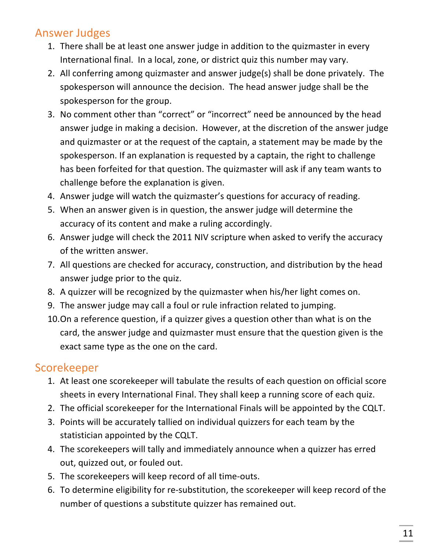### **Answer Judges**

- 1. There shall be at least one answer judge in addition to the quizmaster in every International final. In a local, zone, or district quiz this number may vary.
- 2. All conferring among quizmaster and answer judge(s) shall be done privately. The spokesperson will announce the decision. The head answer judge shall be the spokesperson for the group.
- 3. No comment other than "correct" or "incorrect" need be announced by the head answer judge in making a decision. However, at the discretion of the answer judge and quizmaster or at the request of the captain, a statement may be made by the spokesperson. If an explanation is requested by a captain, the right to challenge has been forfeited for that question. The quizmaster will ask if any team wants to challenge before the explanation is given.
- 4. Answer judge will watch the quizmaster's questions for accuracy of reading.
- 5. When an answer given is in question, the answer judge will determine the accuracy of its content and make a ruling accordingly.
- 6. Answer judge will check the 2011 NIV scripture when asked to verify the accuracy of the written answer.
- 7. All questions are checked for accuracy, construction, and distribution by the head answer judge prior to the quiz.
- 8. A quizzer will be recognized by the quizmaster when his/her light comes on.
- 9. The answer judge may call a foul or rule infraction related to jumping.
- 10.On a reference question, if a quizzer gives a question other than what is on the card, the answer judge and quizmaster must ensure that the question given is the exact same type as the one on the card.

# Scorekeeper

- 1. At least one scorekeeper will tabulate the results of each question on official score sheets in every International Final. They shall keep a running score of each quiz.
- 2. The official scorekeeper for the International Finals will be appointed by the CQLT.
- 3. Points will be accurately tallied on individual quizzers for each team by the statistician appointed by the CQLT.
- 4. The scorekeepers will tally and immediately announce when a quizzer has erred out, quizzed out, or fouled out.
- 5. The scorekeepers will keep record of all time-outs.
- 6. To determine eligibility for re-substitution, the scorekeeper will keep record of the number of questions a substitute quizzer has remained out.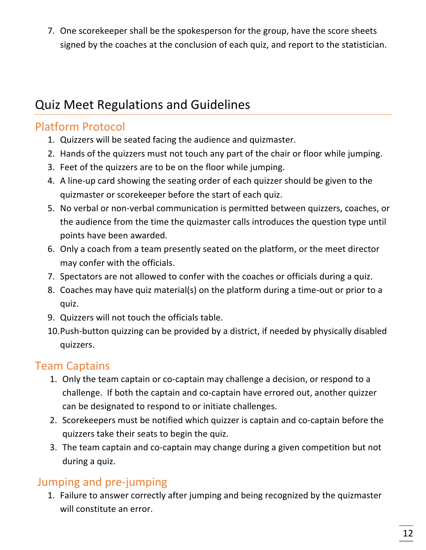7. One scorekeeper shall be the spokesperson for the group, have the score sheets signed by the coaches at the conclusion of each quiz, and report to the statistician.

# Quiz Meet Regulations and Guidelines

# Platform Protocol

- 1. Quizzers will be seated facing the audience and quizmaster.
- 2. Hands of the quizzers must not touch any part of the chair or floor while jumping.
- 3. Feet of the quizzers are to be on the floor while jumping.
- 4. A line-up card showing the seating order of each quizzer should be given to the quizmaster or scorekeeper before the start of each quiz.
- 5. No verbal or non-verbal communication is permitted between quizzers, coaches, or the audience from the time the quizmaster calls introduces the question type until points have been awarded.
- 6. Only a coach from a team presently seated on the platform, or the meet director may confer with the officials.
- 7. Spectators are not allowed to confer with the coaches or officials during a quiz.
- 8. Coaches may have quiz material(s) on the platform during a time-out or prior to a quiz.
- 9. Quizzers will not touch the officials table.
- 10. Push-button quizzing can be provided by a district, if needed by physically disabled quizzers.

# Team Captains

- 1. Only the team captain or co-captain may challenge a decision, or respond to a challenge. If both the captain and co-captain have errored out, another quizzer can be designated to respond to or initiate challenges.
- 2. Scorekeepers must be notified which quizzer is captain and co-captain before the quizzers take their seats to begin the quiz.
- 3. The team captain and co-captain may change during a given competition but not during a quiz.

# Jumping and pre-jumping

1. Failure to answer correctly after jumping and being recognized by the quizmaster will constitute an error.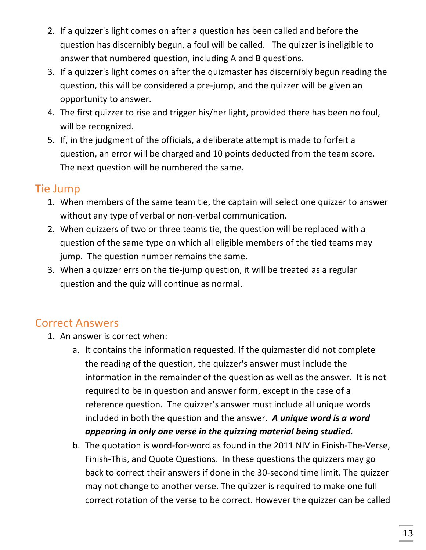- 2. If a quizzer's light comes on after a question has been called and before the question has discernibly begun, a foul will be called. The quizzer is ineligible to answer that numbered question, including A and B questions.
- 3. If a quizzer's light comes on after the quizmaster has discernibly begun reading the question, this will be considered a pre-jump, and the quizzer will be given an opportunity to answer.
- 4. The first quizzer to rise and trigger his/her light, provided there has been no foul, will be recognized.
- 5. If, in the judgment of the officials, a deliberate attempt is made to forfeit a question, an error will be charged and 10 points deducted from the team score. The next question will be numbered the same.

# Tie Jump

- 1. When members of the same team tie, the captain will select one quizzer to answer without any type of verbal or non-verbal communication.
- 2. When quizzers of two or three teams tie, the question will be replaced with a question of the same type on which all eligible members of the tied teams may jump. The question number remains the same.
- 3. When a quizzer errs on the tie-jump question, it will be treated as a regular question and the quiz will continue as normal.

# Correct Answers

- 1. An answer is correct when:
	- a. It contains the information requested. If the quizmaster did not complete the reading of the question, the quizzer's answer must include the information in the remainder of the question as well as the answer. It is not required to be in question and answer form, except in the case of a reference question. The quizzer's answer must include all unique words included in both the question and the answer. A unique word is a word *appearing in only one verse in the quizzing material being studied.*
	- b. The quotation is word-for-word as found in the 2011 NIV in Finish-The-Verse, Finish-This, and Quote Questions. In these questions the quizzers may go back to correct their answers if done in the 30-second time limit. The quizzer may not change to another verse. The quizzer is required to make one full correct rotation of the verse to be correct. However the quizzer can be called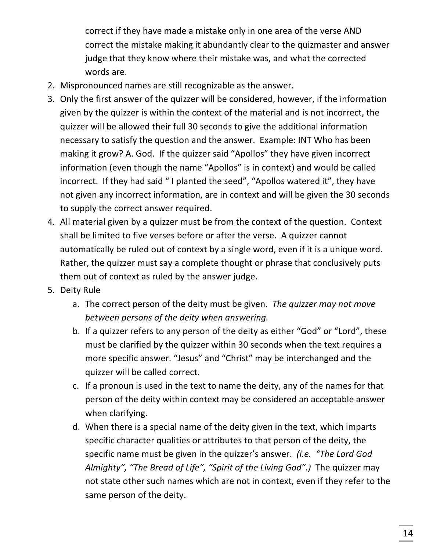correct if they have made a mistake only in one area of the verse AND correct the mistake making it abundantly clear to the quizmaster and answer judge that they know where their mistake was, and what the corrected words are.

- 2. Mispronounced names are still recognizable as the answer.
- 3. Only the first answer of the quizzer will be considered, however, if the information given by the quizzer is within the context of the material and is not incorrect, the quizzer will be allowed their full 30 seconds to give the additional information necessary to satisfy the question and the answer. Example: INT Who has been making it grow? A. God. If the quizzer said "Apollos" they have given incorrect information (even though the name "Apollos" is in context) and would be called incorrect. If they had said "I planted the seed", "Apollos watered it", they have not given any incorrect information, are in context and will be given the 30 seconds to supply the correct answer required.
- 4. All material given by a quizzer must be from the context of the question. Context shall be limited to five verses before or after the verse. A quizzer cannot automatically be ruled out of context by a single word, even if it is a unique word. Rather, the quizzer must say a complete thought or phrase that conclusively puts them out of context as ruled by the answer judge.
- 5. Deity Rule
	- a. The correct person of the deity must be given. The quizzer may not move *between persons of the deity when answering.*
	- b. If a quizzer refers to any person of the deity as either "God" or "Lord", these must be clarified by the quizzer within 30 seconds when the text requires a more specific answer. "Jesus" and "Christ" may be interchanged and the quizzer will be called correct.
	- c. If a pronoun is used in the text to name the deity, any of the names for that person of the deity within context may be considered an acceptable answer when clarifying.
	- d. When there is a special name of the deity given in the text, which imparts specific character qualities or attributes to that person of the deity, the specific name must be given in the quizzer's answer. (i.e. "The Lord God *Almighty", "The Bread of Life", "Spirit of the Living God".)* The quizzer may not state other such names which are not in context, even if they refer to the same person of the deity.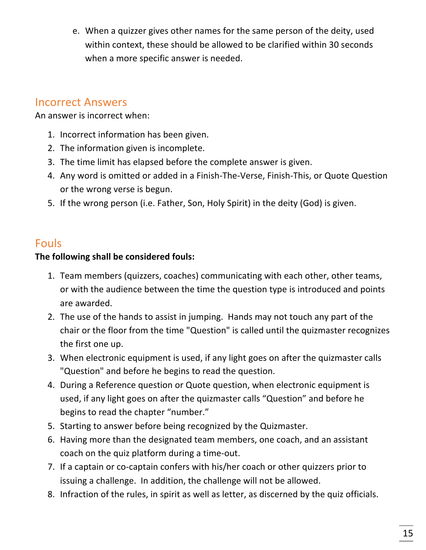e. When a quizzer gives other names for the same person of the deity, used within context, these should be allowed to be clarified within 30 seconds when a more specific answer is needed.

#### Incorrect Answers

An answer is incorrect when:

- 1. Incorrect information has been given.
- 2. The information given is incomplete.
- 3. The time limit has elapsed before the complete answer is given.
- 4. Any word is omitted or added in a Finish-The-Verse, Finish-This, or Quote Question or the wrong verse is begun.
- 5. If the wrong person (i.e. Father, Son, Holy Spirit) in the deity (God) is given.

#### Fouls

#### The following shall be considered fouls:

- 1. Team members (quizzers, coaches) communicating with each other, other teams, or with the audience between the time the question type is introduced and points are awarded.
- 2. The use of the hands to assist in jumping. Hands may not touch any part of the chair or the floor from the time "Question" is called until the quizmaster recognizes the first one up.
- 3. When electronic equipment is used, if any light goes on after the quizmaster calls "Question" and before he begins to read the question.
- 4. During a Reference question or Quote question, when electronic equipment is used, if any light goes on after the quizmaster calls "Question" and before he begins to read the chapter "number."
- 5. Starting to answer before being recognized by the Quizmaster.
- 6. Having more than the designated team members, one coach, and an assistant coach on the quiz platform during a time-out.
- 7. If a captain or co-captain confers with his/her coach or other quizzers prior to issuing a challenge. In addition, the challenge will not be allowed.
- 8. Infraction of the rules, in spirit as well as letter, as discerned by the quiz officials.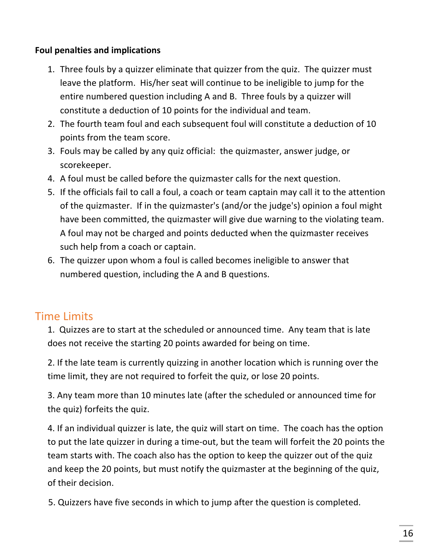#### **Foul penalties and implications**

- 1. Three fouls by a quizzer eliminate that quizzer from the quiz. The quizzer must leave the platform. His/her seat will continue to be ineligible to jump for the entire numbered question including A and B. Three fouls by a quizzer will constitute a deduction of 10 points for the individual and team.
- 2. The fourth team foul and each subsequent foul will constitute a deduction of 10 points from the team score.
- 3. Fouls may be called by any quiz official: the quizmaster, answer judge, or scorekeeper.
- 4. A foul must be called before the quizmaster calls for the next question.
- 5. If the officials fail to call a foul, a coach or team captain may call it to the attention of the quizmaster. If in the quizmaster's (and/or the judge's) opinion a foul might have been committed, the quizmaster will give due warning to the violating team. A foul may not be charged and points deducted when the quizmaster receives such help from a coach or captain.
- 6. The quizzer upon whom a foul is called becomes ineligible to answer that numbered question, including the A and B questions.

# Time Limits

1. Quizzes are to start at the scheduled or announced time. Any team that is late does not receive the starting 20 points awarded for being on time.

2. If the late team is currently quizzing in another location which is running over the time limit, they are not required to forfeit the quiz, or lose 20 points.

3. Any team more than 10 minutes late (after the scheduled or announced time for the quiz) forfeits the quiz.

4. If an individual quizzer is late, the quiz will start on time. The coach has the option to put the late quizzer in during a time-out, but the team will forfeit the 20 points the team starts with. The coach also has the option to keep the quizzer out of the quiz and keep the 20 points, but must notify the quizmaster at the beginning of the quiz, of their decision.

5. Quizzers have five seconds in which to jump after the question is completed.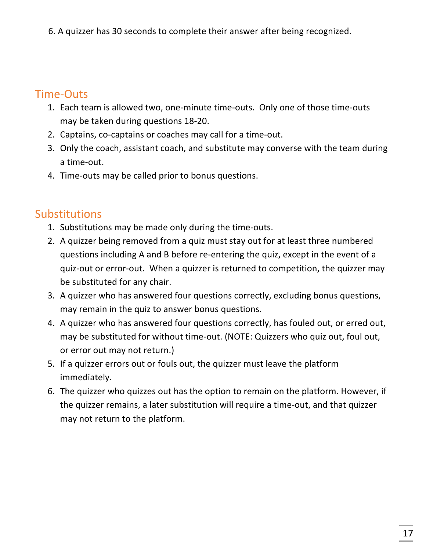6. A quizzer has 30 seconds to complete their answer after being recognized.

## Time-Outs

- 1. Each team is allowed two, one-minute time-outs. Only one of those time-outs may be taken during questions 18-20.
- 2. Captains, co-captains or coaches may call for a time-out.
- 3. Only the coach, assistant coach, and substitute may converse with the team during a time-out.
- 4. Time-outs may be called prior to bonus questions.

# **Substitutions**

- 1. Substitutions may be made only during the time-outs.
- 2. A quizzer being removed from a quiz must stay out for at least three numbered questions including A and B before re-entering the quiz, except in the event of a quiz-out or error-out. When a quizzer is returned to competition, the quizzer may be substituted for any chair.
- 3. A quizzer who has answered four questions correctly, excluding bonus questions, may remain in the quiz to answer bonus questions.
- 4. A quizzer who has answered four questions correctly, has fouled out, or erred out, may be substituted for without time-out. (NOTE: Quizzers who quiz out, foul out, or error out may not return.)
- 5. If a quizzer errors out or fouls out, the quizzer must leave the platform immediately.
- 6. The quizzer who quizzes out has the option to remain on the platform. However, if the quizzer remains, a later substitution will require a time-out, and that quizzer may not return to the platform.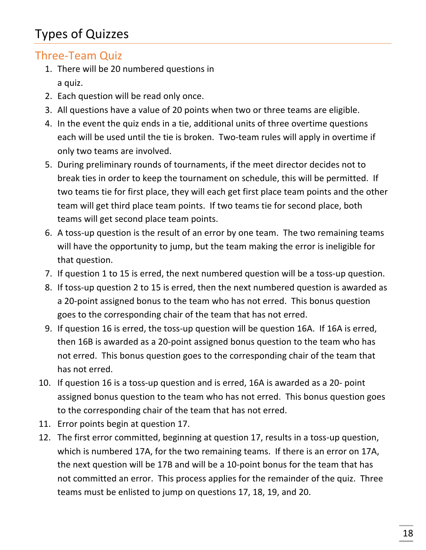# Types of Quizzes

## Three-Team Quiz

- 1. There will be 20 numbered questions in a quiz.
- 2. Each question will be read only once.
- 3. All questions have a value of 20 points when two or three teams are eligible.
- 4. In the event the quiz ends in a tie, additional units of three overtime questions each will be used until the tie is broken. Two-team rules will apply in overtime if only two teams are involved.
- 5. During preliminary rounds of tournaments, if the meet director decides not to break ties in order to keep the tournament on schedule, this will be permitted. If two teams tie for first place, they will each get first place team points and the other team will get third place team points. If two teams tie for second place, both teams will get second place team points.
- 6. A toss-up question is the result of an error by one team. The two remaining teams will have the opportunity to jump, but the team making the error is ineligible for that question.
- 7. If question 1 to 15 is erred, the next numbered question will be a toss-up question.
- 8. If toss-up question 2 to 15 is erred, then the next numbered question is awarded as a 20-point assigned bonus to the team who has not erred. This bonus question goes to the corresponding chair of the team that has not erred.
- 9. If question 16 is erred, the toss-up question will be question 16A. If 16A is erred, then 16B is awarded as a 20-point assigned bonus question to the team who has not erred. This bonus question goes to the corresponding chair of the team that has not erred.
- 10. If question 16 is a toss-up question and is erred, 16A is awarded as a 20- point assigned bonus question to the team who has not erred. This bonus question goes to the corresponding chair of the team that has not erred.
- 11. Error points begin at question 17.
- 12. The first error committed, beginning at question 17, results in a toss-up question, which is numbered 17A, for the two remaining teams. If there is an error on 17A, the next question will be 17B and will be a 10-point bonus for the team that has not committed an error. This process applies for the remainder of the quiz. Three teams must be enlisted to jump on questions 17, 18, 19, and 20.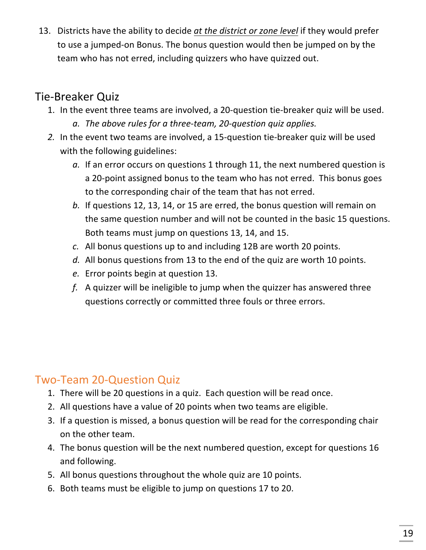13. Districts have the ability to decide at the district or zone level if they would prefer to use a jumped-on Bonus. The bonus question would then be jumped on by the team who has not erred, including quizzers who have quizzed out.

# Tie-Breaker Quiz

- 1. In the event three teams are involved, a 20-question tie-breaker quiz will be used. *a. The above rules for a three-team, 20-question quiz applies.*
- 2. In the event two teams are involved, a 15-question tie-breaker quiz will be used with the following guidelines:
	- a. If an error occurs on questions 1 through 11, the next numbered question is a 20-point assigned bonus to the team who has not erred. This bonus goes to the corresponding chair of the team that has not erred.
	- *b.* If questions 12, 13, 14, or 15 are erred, the bonus question will remain on the same question number and will not be counted in the basic 15 questions. Both teams must jump on questions 13, 14, and 15.
	- c. All bonus questions up to and including 12B are worth 20 points.
	- d. All bonus questions from 13 to the end of the quiz are worth 10 points.
	- *e.* Error points begin at question 13.
	- *f.* A quizzer will be ineligible to jump when the quizzer has answered three questions correctly or committed three fouls or three errors.

## Two-Team 20-Question Quiz

- 1. There will be 20 questions in a quiz. Each question will be read once.
- 2. All questions have a value of 20 points when two teams are eligible.
- 3. If a question is missed, a bonus question will be read for the corresponding chair on the other team.
- 4. The bonus question will be the next numbered question, except for questions 16 and following.
- 5. All bonus questions throughout the whole quiz are 10 points.
- 6. Both teams must be eligible to jump on questions 17 to 20.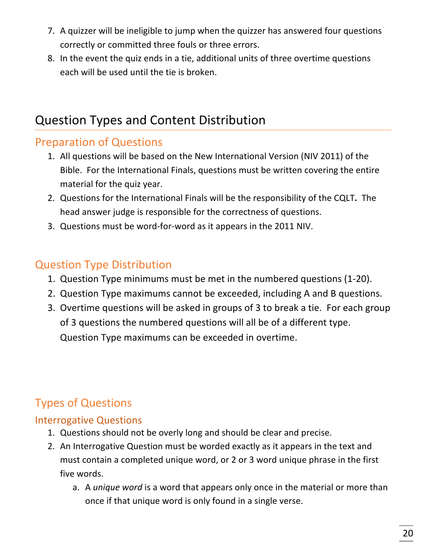- 7. A quizzer will be ineligible to jump when the quizzer has answered four questions correctly or committed three fouls or three errors.
- 8. In the event the quiz ends in a tie, additional units of three overtime questions each will be used until the tie is broken.

# Question Types and Content Distribution

# **Preparation of Questions**

- 1. All questions will be based on the New International Version (NIV 2011) of the Bible. For the International Finals, questions must be written covering the entire material for the quiz year.
- 2. Questions for the International Finals will be the responsibility of the CQLT. The head answer judge is responsible for the correctness of questions.
- 3. Questions must be word-for-word as it appears in the 2011 NIV.

## **Question Type Distribution**

- 1. Question Type minimums must be met in the numbered questions (1-20).
- 2. Question Type maximums cannot be exceeded, including A and B questions.
- 3. Overtime questions will be asked in groups of 3 to break a tie. For each group of 3 questions the numbered questions will all be of a different type. Question Type maximums can be exceeded in overtime.

# **Types of Questions**

#### Interrogative Questions

- 1. Questions should not be overly long and should be clear and precise.
- 2. An Interrogative Question must be worded exactly as it appears in the text and must contain a completed unique word, or 2 or 3 word unique phrase in the first five words.
	- a. A *unique word* is a word that appears only once in the material or more than once if that unique word is only found in a single verse.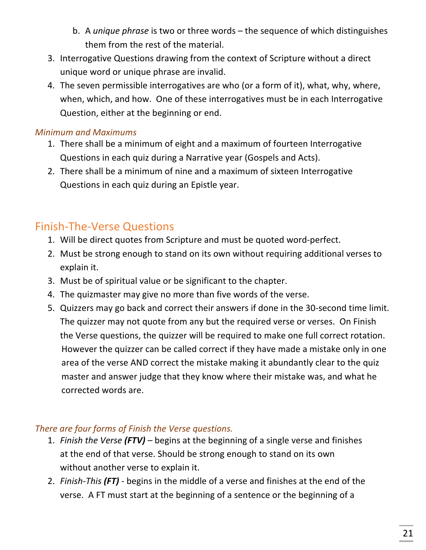- b. A *unique phrase* is two or three words the sequence of which distinguishes them from the rest of the material.
- 3. Interrogative Questions drawing from the context of Scripture without a direct unique word or unique phrase are invalid.
- 4. The seven permissible interrogatives are who (or a form of it), what, why, where, when, which, and how. One of these interrogatives must be in each Interrogative Question, either at the beginning or end.

#### *Minimum and Maximums*

- 1. There shall be a minimum of eight and a maximum of fourteen Interrogative Questions in each quiz during a Narrative year (Gospels and Acts).
- 2. There shall be a minimum of nine and a maximum of sixteen Interrogative Questions in each quiz during an Epistle year.

# Finish-The-Verse Questions

- 1. Will be direct quotes from Scripture and must be quoted word-perfect.
- 2. Must be strong enough to stand on its own without requiring additional verses to explain it.
- 3. Must be of spiritual value or be significant to the chapter.
- 4. The quizmaster may give no more than five words of the verse.
- 5. Quizzers may go back and correct their answers if done in the 30-second time limit. The quizzer may not quote from any but the required verse or verses. On Finish the Verse questions, the quizzer will be required to make one full correct rotation. However the quizzer can be called correct if they have made a mistake only in one area of the verse AND correct the mistake making it abundantly clear to the quiz master and answer judge that they know where their mistake was, and what he corrected words are.

#### There are four forms of Finish the Verse questions.

- 1. *Finish the Verse (FTV)* begins at the beginning of a single verse and finishes at the end of that verse. Should be strong enough to stand on its own without another verse to explain it.
- 2. *Finish-This* (FT) begins in the middle of a verse and finishes at the end of the verse. A FT must start at the beginning of a sentence or the beginning of a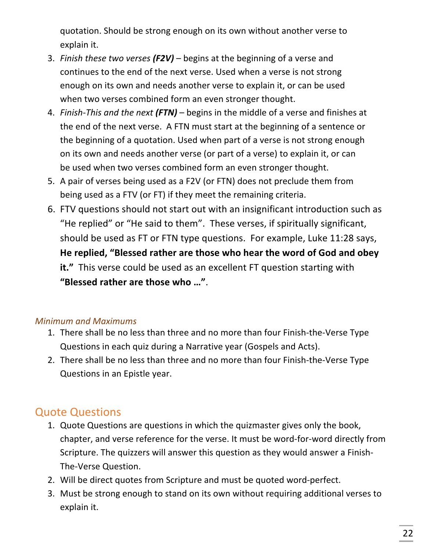quotation. Should be strong enough on its own without another verse to explain it.

- 3. *Finish these two verses (F2V)* begins at the beginning of a verse and continues to the end of the next verse. Used when a verse is not strong enough on its own and needs another verse to explain it, or can be used when two verses combined form an even stronger thought.
- 4. *Finish-This and the next (FTN)* begins in the middle of a verse and finishes at the end of the next verse. A FTN must start at the beginning of a sentence or the beginning of a quotation. Used when part of a verse is not strong enough on its own and needs another verse (or part of a verse) to explain it, or can be used when two verses combined form an even stronger thought.
- 5. A pair of verses being used as a F2V (or FTN) does not preclude them from being used as a FTV (or FT) if they meet the remaining criteria.
- 6. FTV questions should not start out with an insignificant introduction such as "He replied" or "He said to them". These verses, if spiritually significant, should be used as FT or FTN type questions. For example, Luke 11:28 says, He replied, "Blessed rather are those who hear the word of God and obey **it.**" This verse could be used as an excellent FT question starting with "Blessed rather are those who ...".

#### *Minimum and Maximums*

- 1. There shall be no less than three and no more than four Finish-the-Verse Type Questions in each quiz during a Narrative year (Gospels and Acts).
- 2. There shall be no less than three and no more than four Finish-the-Verse Type Questions in an Epistle year.

# **Quote Questions**

- 1. Quote Questions are questions in which the quizmaster gives only the book, chapter, and verse reference for the verse. It must be word-for-word directly from Scripture. The quizzers will answer this question as they would answer a Finish-The-Verse Question.
- 2. Will be direct quotes from Scripture and must be quoted word-perfect.
- 3. Must be strong enough to stand on its own without requiring additional verses to explain it.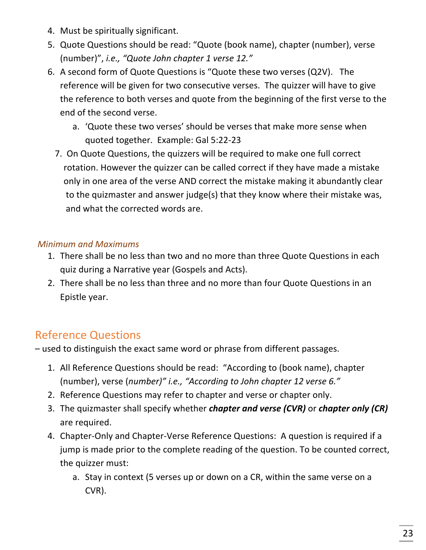- 4. Must be spiritually significant.
- 5. Quote Questions should be read: "Quote (book name), chapter (number), verse (number)", *i.e.,* "Quote John chapter 1 verse 12."
- 6. A second form of Quote Questions is "Quote these two verses (Q2V). The reference will be given for two consecutive verses. The quizzer will have to give the reference to both verses and quote from the beginning of the first verse to the end of the second verse.
	- a. 'Quote these two verses' should be verses that make more sense when quoted together. Example: Gal 5:22-23
	- 7. On Quote Questions, the quizzers will be required to make one full correct rotation. However the quizzer can be called correct if they have made a mistake only in one area of the verse AND correct the mistake making it abundantly clear to the quizmaster and answer judge(s) that they know where their mistake was, and what the corrected words are.

#### *Minimum and Maximums*

- 1. There shall be no less than two and no more than three Quote Questions in each quiz during a Narrative year (Gospels and Acts).
- 2. There shall be no less than three and no more than four Quote Questions in an Epistle year.

# **Reference Questions**

 $-$  used to distinguish the exact same word or phrase from different passages.

- 1. All Reference Questions should be read: "According to (book name), chapter (number), verse (number)" i.e., "According to John chapter 12 verse 6."
- 2. Reference Questions may refer to chapter and verse or chapter only.
- 3. The quizmaster shall specify whether *chapter and verse (CVR)* or *chapter only (CR)* are required.
- 4. Chapter-Only and Chapter-Verse Reference Questions: A question is required if a jump is made prior to the complete reading of the question. To be counted correct, the quizzer must:
	- a. Stay in context (5 verses up or down on a CR, within the same verse on a CVR).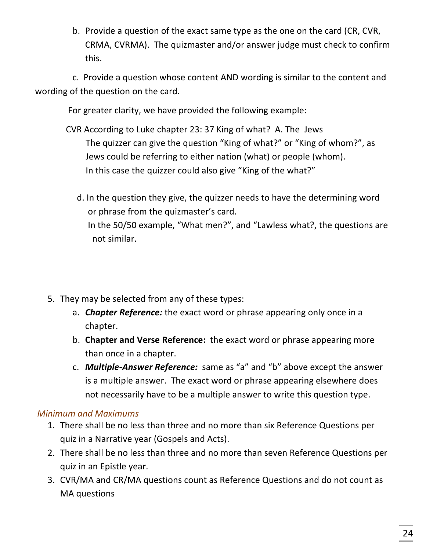b. Provide a question of the exact same type as the one on the card (CR, CVR, CRMA, CVRMA). The quizmaster and/or answer judge must check to confirm this.

c. Provide a question whose content AND wording is similar to the content and wording of the question on the card.

For greater clarity, we have provided the following example:

- CVR According to Luke chapter 23: 37 King of what? A. The Jews The quizzer can give the question "King of what?" or "King of whom?", as Jews could be referring to either nation (what) or people (whom). In this case the quizzer could also give "King of the what?"
	- d. In the question they give, the quizzer needs to have the determining word or phrase from the quizmaster's card. In the 50/50 example, "What men?", and "Lawless what?, the questions are not similar.
- 5. They may be selected from any of these types:
	- a. *Chapter Reference:* the exact word or phrase appearing only once in a chapter.
	- b. **Chapter and Verse Reference:** the exact word or phrase appearing more than once in a chapter.
	- c. **Multiple-Answer Reference:** same as "a" and "b" above except the answer is a multiple answer. The exact word or phrase appearing elsewhere does not necessarily have to be a multiple answer to write this question type.

#### *Minimum and Maximums*

- 1. There shall be no less than three and no more than six Reference Questions per quiz in a Narrative year (Gospels and Acts).
- 2. There shall be no less than three and no more than seven Reference Questions per quiz in an Epistle year.
- 3. CVR/MA and CR/MA questions count as Reference Questions and do not count as MA questions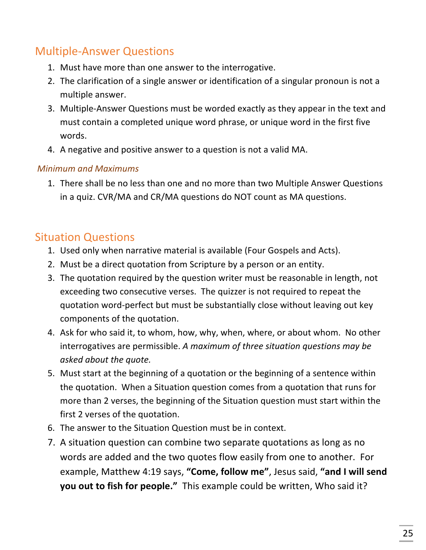## **Multiple-Answer Questions**

- 1. Must have more than one answer to the interrogative.
- 2. The clarification of a single answer or identification of a singular pronoun is not a multiple answer.
- 3. Multiple-Answer Questions must be worded exactly as they appear in the text and must contain a completed unique word phrase, or unique word in the first five words.
- 4. A negative and positive answer to a question is not a valid MA.

#### *Minimum and Maximums*

1. There shall be no less than one and no more than two Multiple Answer Questions in a quiz. CVR/MA and CR/MA questions do NOT count as MA questions.

# **Situation Questions**

- 1. Used only when narrative material is available (Four Gospels and Acts).
- 2. Must be a direct quotation from Scripture by a person or an entity.
- 3. The quotation required by the question writer must be reasonable in length, not exceeding two consecutive verses. The quizzer is not required to repeat the quotation word-perfect but must be substantially close without leaving out key components of the quotation.
- 4. Ask for who said it, to whom, how, why, when, where, or about whom. No other interrogatives are permissible. A maximum of three situation questions may be *asked about the quote.*
- 5. Must start at the beginning of a quotation or the beginning of a sentence within the quotation. When a Situation question comes from a quotation that runs for more than 2 verses, the beginning of the Situation question must start within the first 2 verses of the quotation.
- 6. The answer to the Situation Question must be in context.
- 7. A situation question can combine two separate quotations as long as no words are added and the two quotes flow easily from one to another. For example, Matthew 4:19 says, "Come, follow me", Jesus said, "and I will send **you out to fish for people."** This example could be written, Who said it?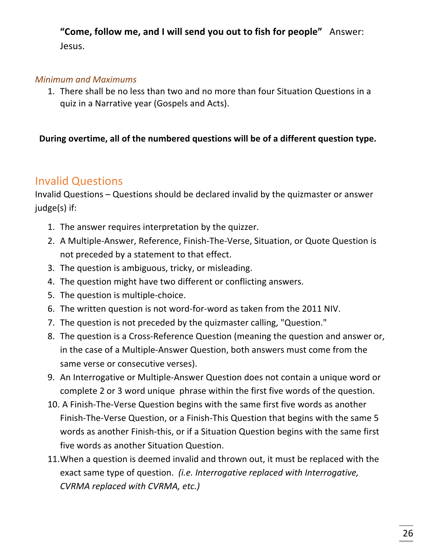#### "Come, follow me, and I will send you out to fish for people" Answer: Jesus.

#### *Minimum and Maximums*

1. There shall be no less than two and no more than four Situation Questions in a quiz in a Narrative year (Gospels and Acts).

#### During overtime, all of the numbered questions will be of a different question type.

## Invalid Questions

Invalid Questions  $-$  Questions should be declared invalid by the quizmaster or answer judge(s) if:

- 1. The answer requires interpretation by the quizzer.
- 2. A Multiple-Answer, Reference, Finish-The-Verse, Situation, or Quote Question is not preceded by a statement to that effect.
- 3. The question is ambiguous, tricky, or misleading.
- 4. The question might have two different or conflicting answers.
- 5. The question is multiple-choice.
- 6. The written question is not word-for-word as taken from the 2011 NIV.
- 7. The question is not preceded by the quizmaster calling, "Question."
- 8. The question is a Cross-Reference Question (meaning the question and answer or, in the case of a Multiple-Answer Question, both answers must come from the same verse or consecutive verses).
- 9. An Interrogative or Multiple-Answer Question does not contain a unique word or complete 2 or 3 word unique phrase within the first five words of the question.
- 10. A Finish-The-Verse Question begins with the same first five words as another Finish-The-Verse Question, or a Finish-This Question that begins with the same 5 words as another Finish-this, or if a Situation Question begins with the same first five words as another Situation Question.
- 11. When a question is deemed invalid and thrown out, it must be replaced with the exact same type of question. *(i.e. Interrogative replaced with Interrogative, CVRMA replaced with CVRMA, etc.)*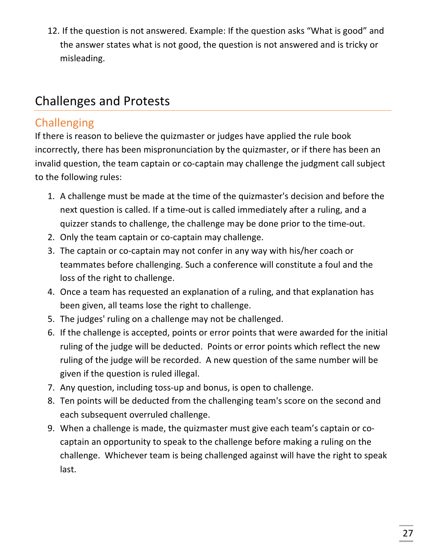12. If the question is not answered. Example: If the question asks "What is good" and the answer states what is not good, the question is not answered and is tricky or misleading.

# Challenges and Protests

# **Challenging**

If there is reason to believe the quizmaster or judges have applied the rule book incorrectly, there has been mispronunciation by the quizmaster, or if there has been an invalid question, the team captain or co-captain may challenge the judgment call subject to the following rules:

- 1. A challenge must be made at the time of the quizmaster's decision and before the next question is called. If a time-out is called immediately after a ruling, and a quizzer stands to challenge, the challenge may be done prior to the time-out.
- 2. Only the team captain or co-captain may challenge.
- 3. The captain or co-captain may not confer in any way with his/her coach or teammates before challenging. Such a conference will constitute a foul and the loss of the right to challenge.
- 4. Once a team has requested an explanation of a ruling, and that explanation has been given, all teams lose the right to challenge.
- 5. The judges' ruling on a challenge may not be challenged.
- 6. If the challenge is accepted, points or error points that were awarded for the initial ruling of the judge will be deducted. Points or error points which reflect the new ruling of the judge will be recorded. A new question of the same number will be given if the question is ruled illegal.
- 7. Any question, including toss-up and bonus, is open to challenge.
- 8. Ten points will be deducted from the challenging team's score on the second and each subsequent overruled challenge.
- 9. When a challenge is made, the quizmaster must give each team's captain or cocaptain an opportunity to speak to the challenge before making a ruling on the challenge. Whichever team is being challenged against will have the right to speak last.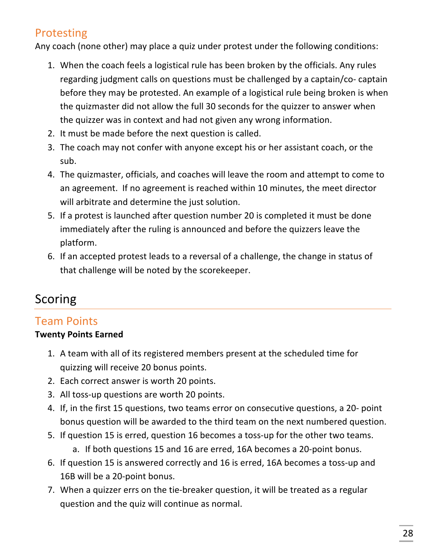# Protesting

Any coach (none other) may place a quiz under protest under the following conditions:

- 1. When the coach feels a logistical rule has been broken by the officials. Any rules regarding judgment calls on questions must be challenged by a captain/co- captain before they may be protested. An example of a logistical rule being broken is when the quizmaster did not allow the full 30 seconds for the quizzer to answer when the quizzer was in context and had not given any wrong information.
- 2. It must be made before the next question is called.
- 3. The coach may not confer with anyone except his or her assistant coach, or the sub.
- 4. The quizmaster, officials, and coaches will leave the room and attempt to come to an agreement. If no agreement is reached within 10 minutes, the meet director will arbitrate and determine the just solution.
- 5. If a protest is launched after question number 20 is completed it must be done immediately after the ruling is announced and before the quizzers leave the platform.
- 6. If an accepted protest leads to a reversal of a challenge, the change in status of that challenge will be noted by the scorekeeper.

# Scoring

# Team Points

#### **Twenty Points Earned**

- 1. A team with all of its registered members present at the scheduled time for quizzing will receive 20 bonus points.
- 2. Each correct answer is worth 20 points.
- 3. All toss-up questions are worth 20 points.
- 4. If, in the first 15 questions, two teams error on consecutive questions, a 20- point bonus question will be awarded to the third team on the next numbered question.
- 5. If question 15 is erred, question 16 becomes a toss-up for the other two teams. a. If both questions 15 and 16 are erred, 16A becomes a 20-point bonus.
- 6. If question 15 is answered correctly and 16 is erred, 16A becomes a toss-up and 16B will be a 20-point bonus.
- 7. When a quizzer errs on the tie-breaker question, it will be treated as a regular question and the quiz will continue as normal.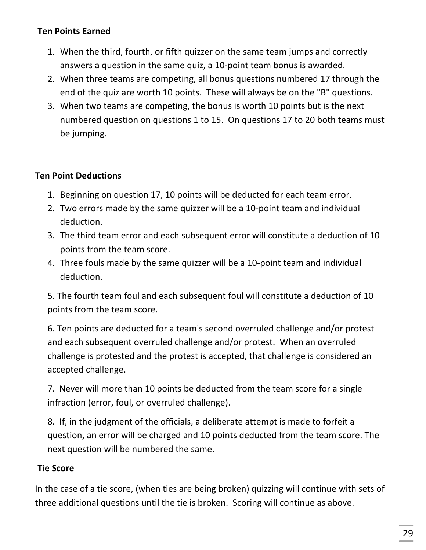#### **Ten Points Earned**

- 1. When the third, fourth, or fifth quizzer on the same team jumps and correctly answers a question in the same quiz, a 10-point team bonus is awarded.
- 2. When three teams are competing, all bonus questions numbered 17 through the end of the quiz are worth 10 points. These will always be on the "B" questions.
- 3. When two teams are competing, the bonus is worth 10 points but is the next numbered question on questions 1 to 15. On questions 17 to 20 both teams must be jumping.

#### **Ten Point Deductions**

- 1. Beginning on question 17, 10 points will be deducted for each team error.
- 2. Two errors made by the same quizzer will be a 10-point team and individual deduction.
- 3. The third team error and each subsequent error will constitute a deduction of 10 points from the team score.
- 4. Three fouls made by the same quizzer will be a 10-point team and individual deduction.

5. The fourth team foul and each subsequent foul will constitute a deduction of 10 points from the team score.

6. Ten points are deducted for a team's second overruled challenge and/or protest and each subsequent overruled challenge and/or protest. When an overruled challenge is protested and the protest is accepted, that challenge is considered an accepted challenge.

7. Never will more than 10 points be deducted from the team score for a single infraction (error, foul, or overruled challenge).

8. If, in the judgment of the officials, a deliberate attempt is made to forfeit a question, an error will be charged and 10 points deducted from the team score. The next question will be numbered the same.

#### **Tie Score**

In the case of a tie score, (when ties are being broken) quizzing will continue with sets of three additional questions until the tie is broken. Scoring will continue as above.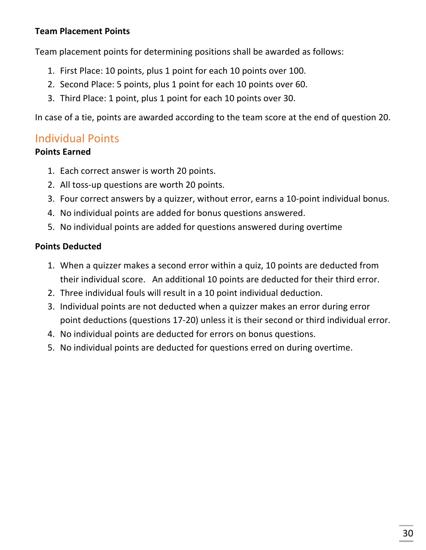#### **Team Placement Points**

Team placement points for determining positions shall be awarded as follows:

- 1. First Place: 10 points, plus 1 point for each 10 points over 100.
- 2. Second Place: 5 points, plus 1 point for each 10 points over 60.
- 3. Third Place: 1 point, plus 1 point for each 10 points over 30.

In case of a tie, points are awarded according to the team score at the end of question 20.

#### Individual Points

#### **Points Earned**

- 1. Each correct answer is worth 20 points.
- 2. All toss-up questions are worth 20 points.
- 3. Four correct answers by a quizzer, without error, earns a 10-point individual bonus.
- 4. No individual points are added for bonus questions answered.
- 5. No individual points are added for questions answered during overtime

#### **Points Deducted**

- 1. When a quizzer makes a second error within a quiz, 10 points are deducted from their individual score. An additional 10 points are deducted for their third error.
- 2. Three individual fouls will result in a 10 point individual deduction.
- 3. Individual points are not deducted when a quizzer makes an error during error point deductions (questions 17-20) unless it is their second or third individual error.
- 4. No individual points are deducted for errors on bonus questions.
- 5. No individual points are deducted for questions erred on during overtime.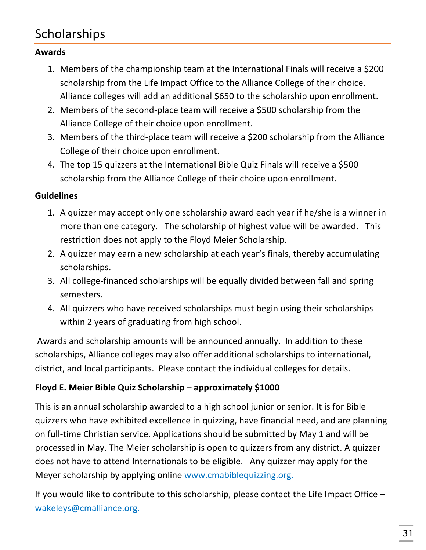# Scholarships

#### **Awards**

- 1. Members of the championship team at the International Finals will receive a \$200 scholarship from the Life Impact Office to the Alliance College of their choice. Alliance colleges will add an additional \$650 to the scholarship upon enrollment.
- 2. Members of the second-place team will receive a \$500 scholarship from the Alliance College of their choice upon enrollment.
- 3. Members of the third-place team will receive a \$200 scholarship from the Alliance College of their choice upon enrollment.
- 4. The top 15 quizzers at the International Bible Quiz Finals will receive a \$500 scholarship from the Alliance College of their choice upon enrollment.

#### **Guidelines**

- 1. A quizzer may accept only one scholarship award each year if he/she is a winner in more than one category. The scholarship of highest value will be awarded. This restriction does not apply to the Floyd Meier Scholarship.
- 2. A quizzer may earn a new scholarship at each year's finals, thereby accumulating scholarships.
- 3. All college-financed scholarships will be equally divided between fall and spring semesters.
- 4. All quizzers who have received scholarships must begin using their scholarships within 2 years of graduating from high school.

Awards and scholarship amounts will be announced annually. In addition to these scholarships, Alliance colleges may also offer additional scholarships to international, district, and local participants. Please contact the individual colleges for details.

#### **Floyd E. Meier Bible Quiz Scholarship – approximately \$1000**

This is an annual scholarship awarded to a high school junior or senior. It is for Bible quizzers who have exhibited excellence in quizzing, have financial need, and are planning on full-time Christian service. Applications should be submitted by May 1 and will be processed in May. The Meier scholarship is open to quizzers from any district. A quizzer does not have to attend Internationals to be eligible. Any quizzer may apply for the Meyer scholarship by applying online www.cmabiblequizzing.org.

If you would like to contribute to this scholarship, please contact the Life Impact Office  $$ wakeleys@cmalliance.org.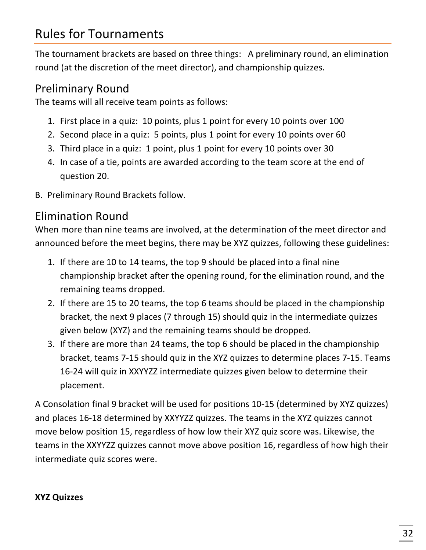# Rules for Tournaments

The tournament brackets are based on three things: A preliminary round, an elimination round (at the discretion of the meet director), and championship quizzes.

## Preliminary Round

The teams will all receive team points as follows:

- 1. First place in a quiz: 10 points, plus 1 point for every 10 points over 100
- 2. Second place in a quiz: 5 points, plus 1 point for every 10 points over 60
- 3. Third place in a quiz: 1 point, plus 1 point for every 10 points over 30
- 4. In case of a tie, points are awarded according to the team score at the end of question 20.
- B. Preliminary Round Brackets follow.

# Elimination Round

When more than nine teams are involved, at the determination of the meet director and announced before the meet begins, there may be XYZ quizzes, following these guidelines:

- 1. If there are 10 to 14 teams, the top 9 should be placed into a final nine championship bracket after the opening round, for the elimination round, and the remaining teams dropped.
- 2. If there are 15 to 20 teams, the top 6 teams should be placed in the championship bracket, the next 9 places (7 through 15) should quiz in the intermediate quizzes given below (XYZ) and the remaining teams should be dropped.
- 3. If there are more than 24 teams, the top 6 should be placed in the championship bracket, teams 7-15 should quiz in the XYZ quizzes to determine places 7-15. Teams 16-24 will quiz in XXYYZZ intermediate quizzes given below to determine their placement.

A Consolation final 9 bracket will be used for positions 10-15 (determined by XYZ quizzes) and places 16-18 determined by XXYYZZ quizzes. The teams in the XYZ quizzes cannot move below position 15, regardless of how low their XYZ quiz score was. Likewise, the teams in the XXYYZZ quizzes cannot move above position 16, regardless of how high their intermediate quiz scores were.

#### **XYZ Quizzes**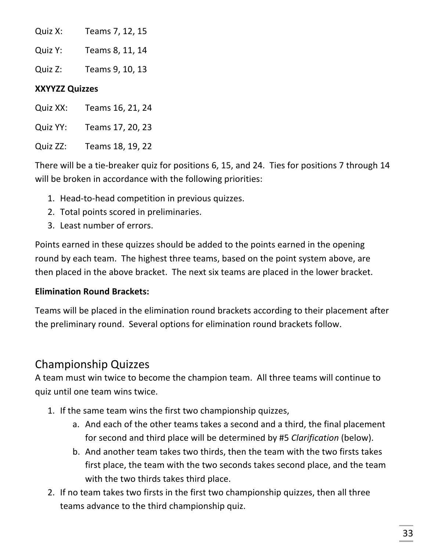| Quiz X: | Teams 7, 12, 15 |  |
|---------|-----------------|--|
|         |                 |  |

Quiz Y: Teams 8, 11, 14

Quiz Z: Teams 9, 10, 13

#### **XXYYZZ Quizzes**

Quiz XX: Teams 16, 21, 24

Quiz YY: Teams 17, 20, 23

Quiz ZZ: Teams 18, 19, 22

There will be a tie-breaker quiz for positions 6, 15, and 24. Ties for positions 7 through 14 will be broken in accordance with the following priorities:

- 1. Head-to-head competition in previous quizzes.
- 2. Total points scored in preliminaries.
- 3. Least number of errors.

Points earned in these quizzes should be added to the points earned in the opening round by each team. The highest three teams, based on the point system above, are then placed in the above bracket. The next six teams are placed in the lower bracket.

#### **Elimination Round Brackets:**

Teams will be placed in the elimination round brackets according to their placement after the preliminary round. Several options for elimination round brackets follow.

## Championship Quizzes

A team must win twice to become the champion team. All three teams will continue to quiz until one team wins twice.

- 1. If the same team wins the first two championship quizzes,
	- a. And each of the other teams takes a second and a third, the final placement for second and third place will be determined by #5 *Clarification* (below).
	- b. And another team takes two thirds, then the team with the two firsts takes first place, the team with the two seconds takes second place, and the team with the two thirds takes third place.
- 2. If no team takes two firsts in the first two championship quizzes, then all three teams advance to the third championship quiz.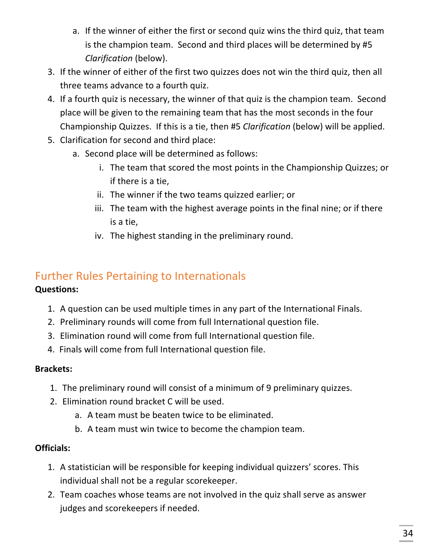- a. If the winner of either the first or second quiz wins the third quiz, that team is the champion team. Second and third places will be determined by #5 *Clarification* (below).
- 3. If the winner of either of the first two quizzes does not win the third quiz, then all three teams advance to a fourth quiz.
- 4. If a fourth quiz is necessary, the winner of that quiz is the champion team. Second place will be given to the remaining team that has the most seconds in the four Championship Quizzes. If this is a tie, then #5 *Clarification* (below) will be applied.
- 5. Clarification for second and third place:
	- a. Second place will be determined as follows:
		- i. The team that scored the most points in the Championship Quizzes; or if there is a tie,
		- ii. The winner if the two teams quizzed earlier; or
		- iii. The team with the highest average points in the final nine; or if there is a tie,
		- iv. The highest standing in the preliminary round.

# Further Rules Pertaining to Internationals

#### **Questions:**

- 1. A question can be used multiple times in any part of the International Finals.
- 2. Preliminary rounds will come from full International question file.
- 3. Elimination round will come from full International question file.
- 4. Finals will come from full International question file.

#### **Brackets:**

- 1. The preliminary round will consist of a minimum of 9 preliminary quizzes.
- 2. Elimination round bracket C will be used.
	- a. A team must be beaten twice to be eliminated.
	- b. A team must win twice to become the champion team.

#### **Officials:**

- 1. A statistician will be responsible for keeping individual quizzers' scores. This individual shall not be a regular scorekeeper.
- 2. Team coaches whose teams are not involved in the quiz shall serve as answer judges and scorekeepers if needed.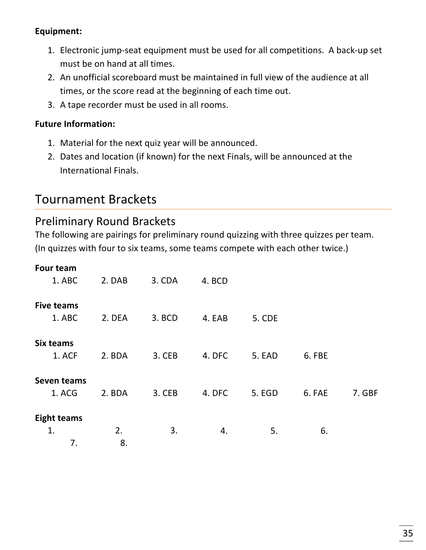#### **Equipment:**

- 1. Electronic jump-seat equipment must be used for all competitions. A back-up set must be on hand at all times.
- 2. An unofficial scoreboard must be maintained in full view of the audience at all times, or the score read at the beginning of each time out.
- 3. A tape recorder must be used in all rooms.

#### **Future Information:**

- 1. Material for the next quiz year will be announced.
- 2. Dates and location (if known) for the next Finals, will be announced at the International Finals.

# Tournament Brackets

#### **Preliminary Round Brackets**

The following are pairings for preliminary round quizzing with three quizzes per team. (In quizzes with four to six teams, some teams compete with each other twice.)

| <b>Four team</b>   |        |        |        |               |        |        |
|--------------------|--------|--------|--------|---------------|--------|--------|
| 1. ABC             | 2. DAB | 3. CDA | 4. BCD |               |        |        |
| <b>Five teams</b>  |        |        |        |               |        |        |
| 1. ABC             | 2. DEA | 3. BCD | 4. EAB | <b>5. CDE</b> |        |        |
| Six teams          |        |        |        |               |        |        |
| 1. ACF             | 2. BDA | 3. CEB | 4. DFC | 5. EAD        | 6. FBE |        |
| <b>Seven teams</b> |        |        |        |               |        |        |
| 1. ACG             | 2. BDA | 3. CEB | 4. DFC | 5. EGD        | 6. FAE | 7. GBF |
| <b>Eight teams</b> |        |        |        |               |        |        |
| 1.                 | 2.     | 3.     | 4.     | 5.            | 6.     |        |
| 7.                 | 8.     |        |        |               |        |        |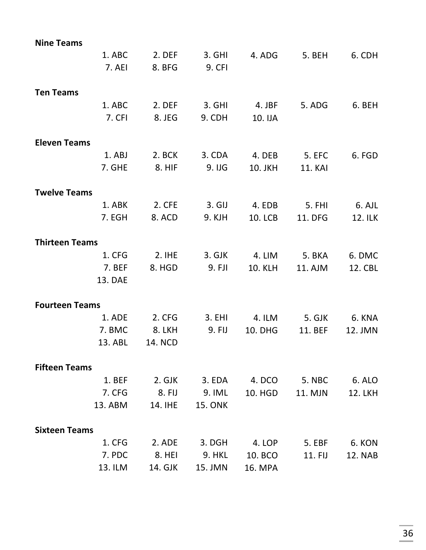| <b>Nine Teams</b>     |                |                |                |                |                |
|-----------------------|----------------|----------------|----------------|----------------|----------------|
| 1. ABC                | 2. DEF         | 3. GHI         | 4. ADG         | 5. BEH         | 6. CDH         |
| 7. AEI                | 8. BFG         | <b>9. CFI</b>  |                |                |                |
| <b>Ten Teams</b>      |                |                |                |                |                |
| 1. ABC                | 2. DEF         | 3. GHI         | 4. JBF         | 5. ADG         | 6. BEH         |
| 7. CFI                | 8. JEG         | 9. CDH         | 10. IJA        |                |                |
| <b>Eleven Teams</b>   |                |                |                |                |                |
| 1. ABJ                | 2. BCK         | 3. CDA         | 4. DEB         | <b>5. EFC</b>  | 6. FGD         |
| 7. GHE                | 8. HIF         | 9. IJG         | 10. JKH        | <b>11. KAI</b> |                |
| <b>Twelve Teams</b>   |                |                |                |                |                |
| 1. ABK                | 2. CFE         | $3. GIJ$       | 4. EDB         | <b>5. FHI</b>  | 6. AJL         |
| 7. EGH                | 8. ACD         | 9. KJH         | <b>10. LCB</b> | 11. DFG        | 12. ILK        |
| <b>Thirteen Teams</b> |                |                |                |                |                |
| 1. CFG                | $2.$ IHE       | 3. GJK         | 4. LIM         | 5. BKA         | 6. DMC         |
| 7. BEF                | 8. HGD         | 9. FJI         | <b>10. KLH</b> | 11. AJM        | 12. CBL        |
| 13. DAE               |                |                |                |                |                |
| <b>Fourteen Teams</b> |                |                |                |                |                |
| 1. ADE                | 2. CFG         | 3. EHI         | 4. ILM         | 5. GJK         | 6. KNA         |
| 7. BMC                | 8. LKH         | 9. FIJ         | <b>10. DHG</b> | 11. BEF        | 12. JMN        |
| 13. ABL               | <b>14. NCD</b> |                |                |                |                |
| <b>Fifteen Teams</b>  |                |                |                |                |                |
| 1. BEF                | 2. GJK         | 3. EDA         | 4. DCO         | <b>5. NBC</b>  | 6. ALO         |
| 7. CFG                | 8. FIJ         | 9. IML         | <b>10. HGD</b> | 11. MJN        | <b>12. LKH</b> |
| 13. ABM               | 14. IHE        | <b>15. ONK</b> |                |                |                |
| <b>Sixteen Teams</b>  |                |                |                |                |                |
| 1. CFG                | 2. ADE         | 3. DGH         | 4. LOP         | 5. EBF         | 6. KON         |
| 7. PDC                | 8. HEI         | <b>9. HKL</b>  | 10. BCO        | 11. FIJ        | <b>12. NAB</b> |
| 13. ILM               | 14. GJK        | 15. JMN        | <b>16. MPA</b> |                |                |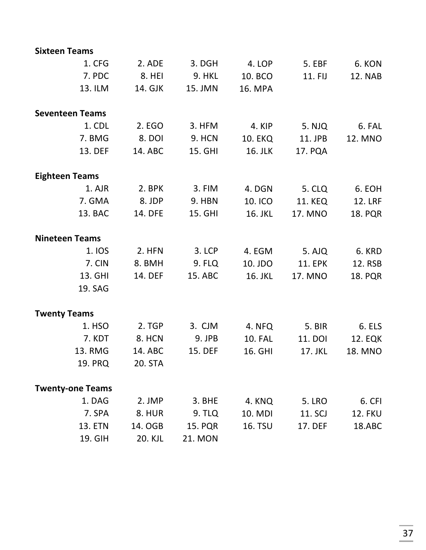| <b>Sixteen Teams</b>    |         |                |                |                |                |
|-------------------------|---------|----------------|----------------|----------------|----------------|
| 1. CFG                  | 2. ADE  | 3. DGH         | 4. LOP         | <b>5. EBF</b>  | 6. KON         |
| 7. PDC                  | 8. HEI  | <b>9. HKL</b>  | 10. BCO        | 11. FIJ        | <b>12. NAB</b> |
| 13. ILM                 | 14. GJK | 15. JMN        | 16. MPA        |                |                |
| <b>Seventeen Teams</b>  |         |                |                |                |                |
| 1. CDL                  | 2. EGO  | 3. HFM         | 4. KIP         | 5. NJQ         | 6. FAL         |
| 7. BMG                  | 8. DOI  | <b>9. HCN</b>  | <b>10. EKQ</b> | 11. JPB        | 12. MNO        |
| 13. DEF                 | 14. ABC | 15. GHI        | 16. JLK        | 17. PQA        |                |
| <b>Eighteen Teams</b>   |         |                |                |                |                |
| 1. AJR                  | 2. BPK  | 3. FIM         | 4. DGN         | <b>5. CLQ</b>  | 6. EOH         |
| 7. GMA                  | 8. JDP  | 9. HBN         | 10. ICO        | <b>11. KEQ</b> | <b>12. LRF</b> |
| 13. BAC                 | 14. DFE | 15. GHI        | 16. JKL        | 17. MNO        | <b>18. PQR</b> |
| <b>Nineteen Teams</b>   |         |                |                |                |                |
| 1. IOS                  | 2. HFN  | 3. LCP         | 4. EGM         | 5. AJQ         | 6. KRD         |
| 7. CIN                  | 8. BMH  | 9. FLQ         | 10. JDO        | <b>11. EPK</b> | 12. RSB        |
| 13. GHI                 | 14. DEF | 15. ABC        | 16. JKL        | 17. MNO        | <b>18. PQR</b> |
| 19. SAG                 |         |                |                |                |                |
| <b>Twenty Teams</b>     |         |                |                |                |                |
| 1. HSO                  | 2. TGP  | 3. CJM         | 4. NFQ         | <b>5. BIR</b>  | 6. ELS         |
| 7. KDT                  | 8. HCN  | 9. JPB         | <b>10. FAL</b> | 11. DOI        | <b>12. EQK</b> |
| 13. RMG                 | 14. ABC | 15. DEF        | 16. GHI        | 17. JKL        | 18. MNO        |
| <b>19. PRQ</b>          | 20. STA |                |                |                |                |
| <b>Twenty-one Teams</b> |         |                |                |                |                |
| 1. DAG                  | 2. JMP  | 3. BHE         | 4. KNQ         | <b>5. LRO</b>  | 6. CFI         |
| 7. SPA                  | 8. HUR  | 9. TLQ         | 10. MDI        | 11. SCJ        | <b>12. FKU</b> |
| <b>13. ETN</b>          | 14. OGB | <b>15. PQR</b> | <b>16. TSU</b> | 17. DEF        | 18.ABC         |
| 19. GIH                 | 20. KJL | <b>21. MON</b> |                |                |                |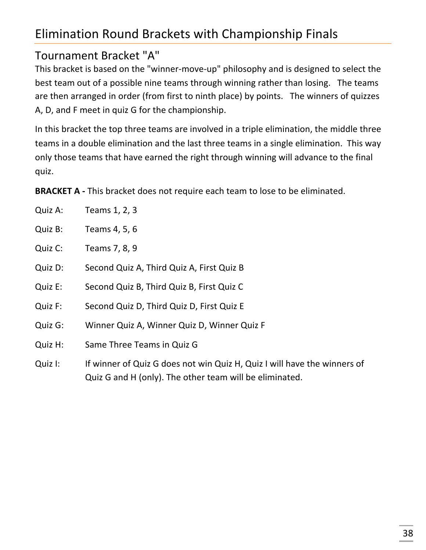# Elimination Round Brackets with Championship Finals

# Tournament Bracket "A"

This bracket is based on the "winner-move-up" philosophy and is designed to select the best team out of a possible nine teams through winning rather than losing. The teams are then arranged in order (from first to ninth place) by points. The winners of quizzes A, D, and F meet in quiz G for the championship.

In this bracket the top three teams are involved in a triple elimination, the middle three teams in a double elimination and the last three teams in a single elimination. This way only those teams that have earned the right through winning will advance to the final quiz.

**BRACKET A** - This bracket does not require each team to lose to be eliminated.

| Quiz A: | Teams 1, 2, 3                                                                                                                       |
|---------|-------------------------------------------------------------------------------------------------------------------------------------|
| Quiz B: | Teams 4, 5, 6                                                                                                                       |
| Quiz C: | Teams 7, 8, 9                                                                                                                       |
| Quiz D: | Second Quiz A, Third Quiz A, First Quiz B                                                                                           |
| Quiz E: | Second Quiz B, Third Quiz B, First Quiz C                                                                                           |
| Quiz F: | Second Quiz D, Third Quiz D, First Quiz E                                                                                           |
| Quiz G: | Winner Quiz A, Winner Quiz D, Winner Quiz F                                                                                         |
| Quiz H: | Same Three Teams in Quiz G                                                                                                          |
| Quiz I: | If winner of Quiz G does not win Quiz H, Quiz I will have the winners of<br>Quiz G and H (only). The other team will be eliminated. |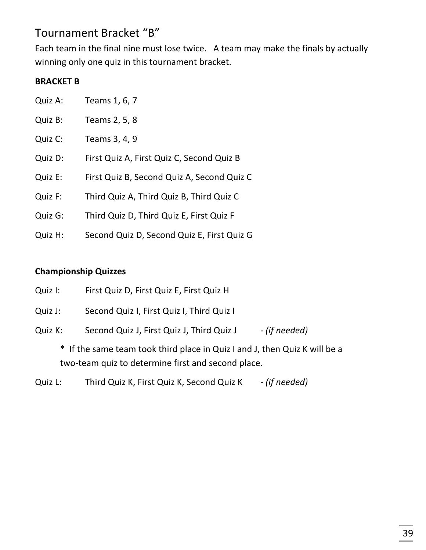## Tournament Bracket "B"

Each team in the final nine must lose twice. A team may make the finals by actually winning only one quiz in this tournament bracket.

#### **BRACKET B**

| Quiz A: | Teams 1, 6, 7                              |
|---------|--------------------------------------------|
| Quiz B: | Teams 2, 5, 8                              |
| Quiz C: | Teams 3, 4, 9                              |
| Quiz D: | First Quiz A, First Quiz C, Second Quiz B  |
| Quiz E: | First Quiz B, Second Quiz A, Second Quiz C |
| Quiz F: | Third Quiz A, Third Quiz B, Third Quiz C   |
| Quiz G: | Third Quiz D, Third Quiz E, First Quiz F   |
| Quiz H: | Second Quiz D, Second Quiz E, First Quiz G |

#### **Championship Quizzes**

| Quiz I: | First Quiz D, First Quiz E, First Quiz H |  |  |
|---------|------------------------------------------|--|--|
|---------|------------------------------------------|--|--|

Quiz J: Second Quiz I, First Quiz I, Third Quiz I

Quiz K: Second Quiz J, First Quiz J, Third Quiz J *- (if needed)* 

\* If the same team took third place in Quiz I and J, then Quiz K will be a two-team quiz to determine first and second place.

Quiz L: Third Quiz K, First Quiz K, Second Quiz K - (if needed)